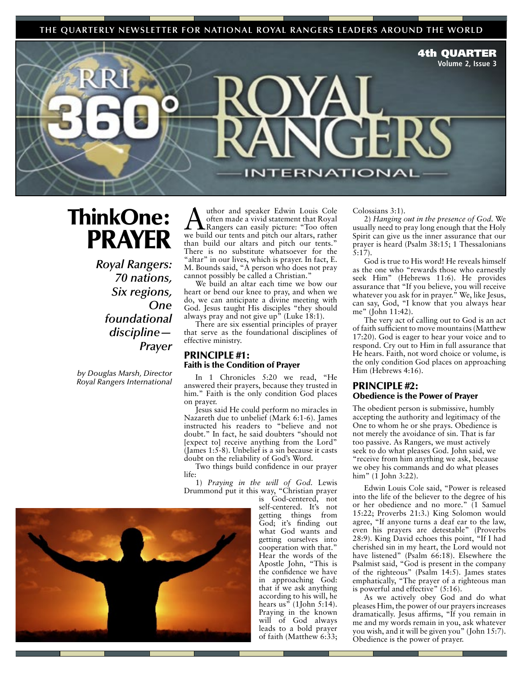**THE QUARTERLY NEWSLETTER FOR NATIONAL ROYAL RANGERS LEADERS AROUND THE WORLD**

4th QUARTER

**Volume 2, Issue 3**

# ThinkOne: PRAYER

*Royal Rangers: 70 nations, Six regions, One foundational discipline— Prayer*

*by Douglas Marsh, Director Royal Rangers International*

Author and speaker Edwin Louis Cole<br>
often made a vivid statement that Royal<br>
Rangers can easily picture: "Too often<br>
we huild our tents and pitch our altars, rather often made a vivid statement that Royal Rangers can easily picture: "Too often we build our tents and pitch our altars, rather than build our altars and pitch our tents." There is no substitute whatsoever for the "altar" in our lives, which is prayer. In fact, E. M. Bounds said, "A person who does not pray cannot possibly be called a Christian."

We build an altar each time we bow our heart or bend our knee to pray, and when we do, we can anticipate a divine meeting with God. Jesus taught His disciples "they should always pray and not give up<sup> $\bar{v}$ </sup> (Luke 18:1).

There are six essential principles of prayer that serve as the foundational disciplines of effective ministry.

## PRINCIPLE #1: Faith is the Condition of Prayer

In 1 Chronicles 5:20 we read, "He answered their prayers, because they trusted in him." Faith is the only condition God places on prayer.

Jesus said He could perform no miracles in Nazareth due to unbelief (Mark 6:1-6). James instructed his readers to "believe and not doubt." In fact, he said doubters "should not [expect to] receive anything from the Lord" (James 1:5-8). Unbelief is a sin because it casts doubt on the reliability of God's Word.

Two things build confidence in our prayer life:

1) *Praying in the will of God.* Lewis Drummond put it this way, "Christian prayer

is God-centered, not self-centered. It's not getting things from God; it's finding out what God wants and getting ourselves into cooperation with that." Hear the words of the Apostle John, "This is the confidence we have in approaching God: that if we ask anything according to his will, he hears us" (1John 5:14). Praying in the known will of God always leads to a bold prayer of faith (Matthew 6:33;

Colossians 3:1).

**ERNATIONAL** 

2) *Hanging out in the presence of God.* We usually need to pray long enough that the Holy Spirit can give us the inner assurance that our prayer is heard (Psalm 38:15; 1 Thessalonians  $\bar{5}$ :17).

God is true to His word! He reveals himself as the one who "rewards those who earnestly seek Him" (Hebrews 11:6). He provides assurance that "If you believe, you will receive whatever you ask for in prayer." We, like Jesus, can say, God, "I know that you always hear me" (John 11:42).

The very act of calling out to God is an act of faith sufficient to move mountains (Matthew 17:20). God is eager to hear your voice and to respond. Cry out to Him in full assurance that He hears. Faith, not word choice or volume, is the only condition God places on approaching Him (Hebrews 4:16).

### PRINCIPLE #2: Obedience is the Power of Prayer

The obedient person is submissive, humbly accepting the authority and legitimacy of the One to whom he or she prays. Obedience is not merely the avoidance of sin. That is far too passive. As Rangers, we must actively seek to do what pleases God. John said, we "receive from him anything we ask, because we obey his commands and do what pleases him" (1 John 3:22).

Edwin Louis Cole said, "Power is released into the life of the believer to the degree of his or her obedience and no more." (1 Samuel 15:22; Proverbs 21:3.) King Solomon would agree, "If anyone turns a deaf ear to the law, even his prayers are detestable" (Proverbs 28:9). King David echoes this point, "If I had cherished sin in my heart, the Lord would not have listened" (Psalm 66:18). Elsewhere the Psalmist said, "God is present in the company of the righteous" (Psalm 14:5). James states emphatically, "The prayer of a righteous man is powerful and effective" (5:16).

As we actively obey God and do what pleases Him, the power of our prayers increases dramatically. Jesus affirms, "If you remain in me and my words remain in you, ask whatever you wish, and it will be given you" (John 15:7). Obedience is the power of prayer.

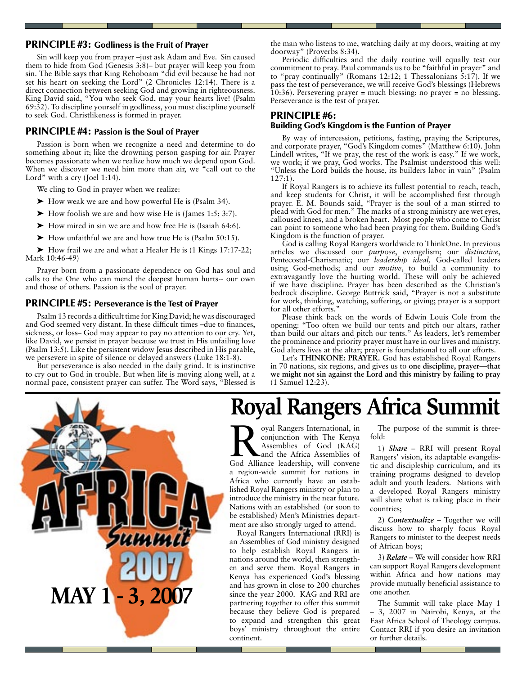### PRINCIPLE #3: Godliness is the Fruit of Prayer

Sin will keep you from prayer –just ask Adam and Eve. Sin caused them to hide from God (Genesis 3:8)– but prayer will keep you from sin. The Bible says that King Rehoboam "did evil because he had not set his heart on seeking the Lord" (2 Chronicles 12:14). There is a direct connection between seeking God and growing in righteousness. King David said, "You who seek God, may your hearts live! (Psalm 69:32). To discipline yourself in godliness, you must discipline yourself to seek God. Christlikeness is formed in prayer.

### PRINCIPLE #4: Passion is the Soul of Prayer

Passion is born when we recognize a need and determine to do something about it; like the drowning person gasping for air. Prayer becomes passionate when we realize how much we depend upon God. When we discover we need him more than air, we "call out to the Lord" with a cry (Joel 1:14).

We cling to God in prayer when we realize:

- ➤ How weak we are and how powerful He is (Psalm 34).
- $\blacktriangleright$  How foolish we are and how wise He is (James 1:5; 3:7).
- ➤ How mired in sin we are and how free He is (Isaiah 64:6).
- ➤ How unfaithful we are and how true He is (Psalm 50:15).

➤ How frail we are and what a Healer He is (1 Kings 17:17-22; Mark 10:46-49)

Prayer born from a passionate dependence on God has soul and calls to the One who can mend the deepest human hurts-- our own and those of others. Passion is the soul of prayer.

#### PRINCIPLE #5: Perseverance is the Test of Prayer

Psalm 13 records a difficult time for King David; he was discouraged and God seemed very distant. In these difficult times –due to finances, sickness, or loss– God may appear to pay no attention to our cry. Yet, like David, we persist in prayer because we trust in His unfailing love (Psalm 13:5). Like the persistent widow Jesus described in His parable, we persevere in spite of silence or delayed answers (Luke 18:1-8).

But perseverance is also needed in the daily grind. It is instinctive to cry out to God in trouble. But when life is moving along well, at a normal pace, consistent prayer can suffer. The Word says, "Blessed is the man who listens to me, watching daily at my doors, waiting at my doorway" (Proverbs 8:34).

Periodic difficulties and the daily routine will equally test our commitment to pray. Paul commands us to be "faithful in prayer" and to "pray continually" (Romans 12:12; 1 Thessalonians 5:17). If we pass the test of perseverance, we will receive God's blessings (Hebrews 10:36). Persevering prayer = much blessing; no prayer = no blessing. Perseverance is the test of prayer.

# PRINCIPLE #6:

### Building God's Kingdom is the Funtion of Prayer

By way of intercession, petitions, fasting, praying the Scriptures, and corporate prayer, "God's Kingdom comes" (Matthew 6:10). John Lindell writes, "If we pray, the rest of the work is easy." If we work, we work; if we pray, God works. The Psalmist understood this well: "Unless the Lord builds the house, its builders labor in vain" (Psalm 127:1).

If Royal Rangers is to achieve its fullest potential to reach, teach, and keep students for Christ, it will be accomplished first through prayer. E. M. Bounds said, "Prayer is the soul of a man stirred to plead with God for men." The marks of a strong ministry are wet eyes, calloused knees, and a broken heart. Most people who come to Christ can point to someone who had been praying for them. Building God's Kingdom is the function of prayer.

God is calling Royal Rangers worldwide to ThinkOne. In previous articles we discussed our *purpose*, evangelism; our *distinctive*, Pentecostal-Charismatic; our *leadership ideal,* God-called leaders using God-methods; and our *motive*, to build a community to extravagantly love the hurting world. These will only be achieved if we have discipline. Prayer has been described as the Christian's bedrock discipline. George Buttrick said, "Prayer is not a substitute for work, thinking, watching, suffering, or giving; prayer is a support for all other efforts."

Please think back on the words of Edwin Louis Cole from the opening: "Too often we build our tents and pitch our altars, rather than build our altars and pitch our tents." As leaders, let's remember the prominence and priority prayer must have in our lives and ministry. God alters lives at the altar; prayer is foundational to all our efforts.

Let's **THINKONE: PRAYER.** God has established Royal Rangers in 70 nations, six regions, and gives us to **one discipline, prayer—that we might not sin against the Lord and this ministry by failing to pray**  (1 Samuel 12:23).



# **Royal Rangers Africa Summit**

oyal Rangers International, in conjunction with The Kenya Assemblies of God (KAG) and the Africa Assemblies of God Alliance leadership, will convene a region-wide summit for nations in Africa who currently have an established Royal Rangers ministry or plan to introduce the ministry in the near future. Nations with an established (or soon to be established) Men's Ministries department are also strongly urged to attend.

Royal Rangers International (RRI) is an Assemblies of God ministry designed to help establish Royal Rangers in nations around the world, then strengthen and serve them. Royal Rangers in Kenya has experienced God's blessing and has grown in close to 200 churches since the year 2000. KAG and RRI are partnering together to offer this summit because they believe God is prepared to expand and strengthen this great boys' ministry throughout the entire continent.

The purpose of the summit is threefold:

1) *Share* – RRI will present Royal Rangers' vision, its adaptable evangelistic and discipleship curriculum, and its training programs designed to develop adult and youth leaders. Nations with a developed Royal Rangers ministry will share what is taking place in their countries;

2) *Contextualize* – Together we will discuss how to sharply focus Royal Rangers to minister to the deepest needs of African boys;

3) *Relate* – We will consider how RRI can support Royal Rangers development within Africa and how nations may provide mutually beneficial assistance to one another.

The Summit will take place May 1 – 3, 2007 in Nairobi, Kenya, at the East Africa School of Theology campus. Contact RRI if you desire an invitation or further details.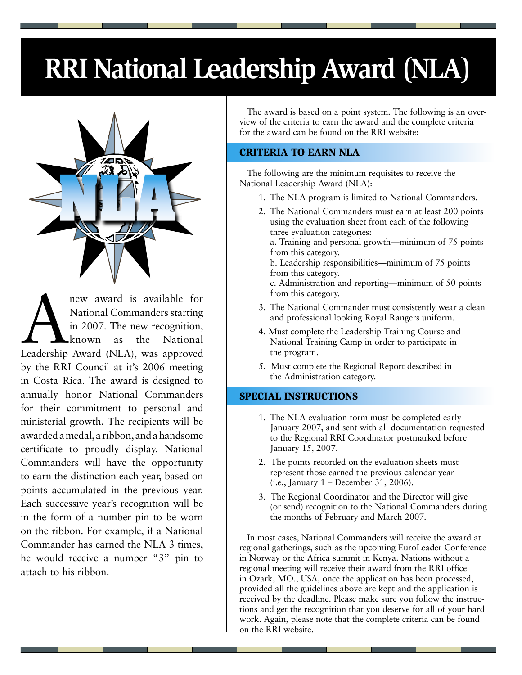# **RRI National Leadership Award (NLA)**



new award is available for<br>
National Commanders starting<br>
in 2007. The new recognition,<br>
known as the National<br>
Leadership Award (NLA), was approved National Commanders starting in 2007. The new recognition, known as the National by the RRI Council at it's 2006 meeting in Costa Rica. The award is designed to annually honor National Commanders for their commitment to personal and ministerial growth. The recipients will be awarded a medal, a ribbon, and a handsome certificate to proudly display. National Commanders will have the opportunity to earn the distinction each year, based on points accumulated in the previous year. Each successive year's recognition will be in the form of a number pin to be worn on the ribbon. For example, if a National Commander has earned the NLA 3 times, he would receive a number "3" pin to attach to his ribbon.

The award is based on a point system. The following is an overview of the criteria to earn the award and the complete criteria for the award can be found on the RRI website:

# CRITERIA TO EARN NLA

The following are the minimum requisites to receive the National Leadership Award (NLA):

- 1. The NLA program is limited to National Commanders.
- 2. The National Commanders must earn at least 200 points using the evaluation sheet from each of the following three evaluation categories:
	- a. Training and personal growth—minimum of 75 points from this category.
	- b. Leadership responsibilities—minimum of 75 points from this category.
	- c. Administration and reporting—minimum of 50 points from this category.
- 3. The National Commander must consistently wear a clean and professional looking Royal Rangers uniform.
- 4. Must complete the Leadership Training Course and National Training Camp in order to participate in the program.
- 5. Must complete the Regional Report described in the Administration category.

# SPECIAL INSTRUCTIONS

- 1. The NLA evaluation form must be completed early January 2007, and sent with all documentation requested to the Regional RRI Coordinator postmarked before January 15, 2007.
- 2. The points recorded on the evaluation sheets must represent those earned the previous calendar year (i.e., January 1 – December 31, 2006).
- 3. The Regional Coordinator and the Director will give (or send) recognition to the National Commanders during the months of February and March 2007.

In most cases, National Commanders will receive the award at regional gatherings, such as the upcoming EuroLeader Conference in Norway or the Africa summit in Kenya. Nations without a regional meeting will receive their award from the RRI office in Ozark, MO., USA, once the application has been processed, provided all the guidelines above are kept and the application is received by the deadline. Please make sure you follow the instructions and get the recognition that you deserve for all of your hard work. Again, please note that the complete criteria can be found on the RRI website.